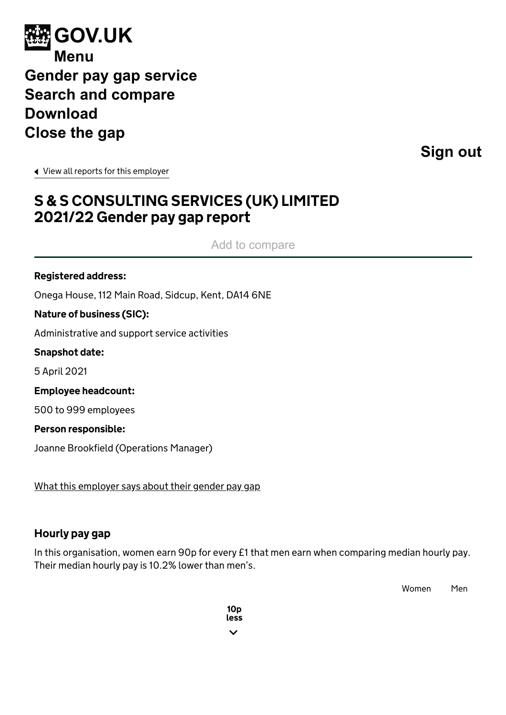<span id="page-0-0"></span>

**[Sign out](https://gender-pay-gap.service.gov.uk/logout)**

[View all reports for this employer](https://gender-pay-gap.service.gov.uk/Employer/RsQ2gVei)

# S & S CONSULTING SERVICES (UK) LIMITED 2021/22 Gender pay gap report

Add to compare

#### Registered address:

Onega House, 112 Main Road, Sidcup, Kent, DA14 6NE

Nature of business (SIC):

Administrative and support service activities

Snapshot date:

5 April 2021

Employee headcount:

500 to 999 employees

Person responsible:

Joanne Brookfield (Operations Manager)

[What this employer says about their gender pay gap](https://sscservices.co.uk/)

### Hourly pay gap

In this organisation, women earn 90p for every £1 that men earn when comparing median hourly pay. Their median hourly pay is 10.2% lower than men's.

Women Men

10p less $\overline{\phantom{a}}$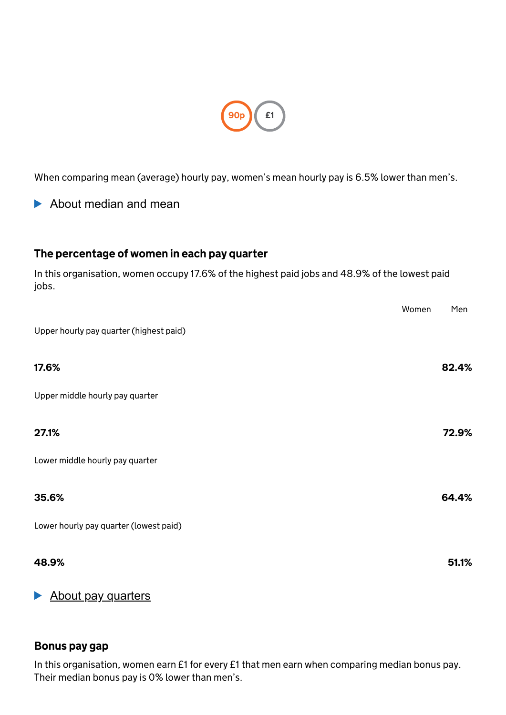

When comparing mean (average) hourly pay, women's mean hourly pay is 6.5% lower than men's.

# About median and mean

# The percentage of women in each pay quarter

In this organisation, women occupy 17.6% of the highest paid jobs and 48.9% of the lowest paid jobs.

|                                         | Women | Men   |
|-----------------------------------------|-------|-------|
| Upper hourly pay quarter (highest paid) |       |       |
| 17.6%                                   |       | 82.4% |
| Upper middle hourly pay quarter         |       |       |
| 27.1%                                   |       | 72.9% |
| Lower middle hourly pay quarter         |       |       |
| 35.6%                                   |       | 64.4% |
| Lower hourly pay quarter (lowest paid)  |       |       |
| 48.9%                                   |       | 51.1% |

# About pay quarters

### Bonus pay gap

In this organisation, women earn £1 for every £1 that men earn when comparing median bonus pay. Their median bonus pay is 0% lower than men's.